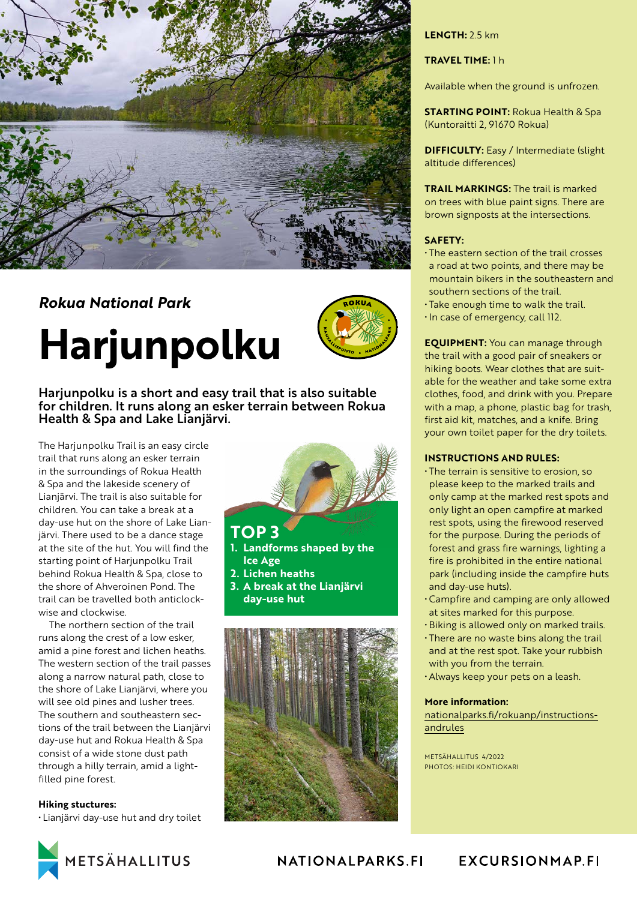

# *Rokua National Park*

# **Harjunpolku**



Harjunpolku is a short and easy trail that is also suitable for children. It runs along an esker terrain between Rokua Health & Spa and Lake Lianjärvi.

The Harjunpolku Trail is an easy circle trail that runs along an esker terrain in the surroundings of Rokua Health & Spa and the lakeside scenery of Lianjärvi. The trail is also suitable for children. You can take a break at a day-use hut on the shore of Lake Lianjärvi. There used to be a dance stage at the site of the hut. You will find the starting point of Harjunpolku Trail behind Rokua Health & Spa, close to the shore of Ahveroinen Pond. The trail can be travelled both anticlockwise and clockwise.

The northern section of the trail runs along the crest of a low esker, amid a pine forest and lichen heaths. The western section of the trail passes along a narrow natural path, close to the shore of Lake Lianjärvi, where you will see old pines and lusher trees. The southern and southeastern sections of the trail between the Lianjärvi day-use hut and Rokua Health & Spa consist of a wide stone dust path through a hilly terrain, amid a lightfilled pine forest.

#### **Hiking stuctures:**

• Lianjärvi day-use hut and dry toilet

**TOP 3 1. Landforms shaped by the** 

- **Ice Age**
- **2. Lichen heaths**
- **3. A break at the Lianjärvi day-use hut**



#### **LENGTH:** 2.5 km

#### **TRAVEL TIME:** 1 h

Available when the ground is unfrozen.

**STARTING POINT:** Rokua Health & Spa (Kuntoraitti 2, 91670 Rokua)

**DIFFICULTY:** Easy / Intermediate (slight altitude differences)

**TRAIL MARKINGS:** The trail is marked on trees with blue paint signs. There are brown signposts at the intersections.

#### **SAFETY:**

- The eastern section of the trail crosses a road at two points, and there may be mountain bikers in the southeastern and southern sections of the trail.
- Take enough time to walk the trail.
- In case of emergency, call 112.

**EQUIPMENT:** You can manage through the trail with a good pair of sneakers or hiking boots. Wear clothes that are suitable for the weather and take some extra clothes, food, and drink with you. Prepare with a map, a phone, plastic bag for trash, first aid kit, matches, and a knife. Bring your own toilet paper for the dry toilets.

#### **INSTRUCTIONS AND RULES:**

- The terrain is sensitive to erosion, so please keep to the marked trails and only camp at the marked rest spots and only light an open campfire at marked rest spots, using the firewood reserved for the purpose. During the periods of forest and grass fire warnings, lighting a fire is prohibited in the entire national park (including inside the campfire huts and day-use huts).
- Campfire and camping are only allowed at sites marked for this purpose.
- Biking is allowed only on marked trails.
- There are no waste bins along the trail and at the rest spot. Take your rubbish with you from the terrain.
- Always keep your pets on a leash.

#### **More information:**

[nationalparks.fi/rokuanp/instructions](https://www.nationalparks.fi/rokuanp/instructionsandrules)[andrules](https://www.nationalparks.fi/rokuanp/instructionsandrules)

METSÄHALLITUS 4/2022 PHOTOS: HEIDI KONTIOKARI



## NATIONALPARKS.FI

## **EXCURSIONMAP.FI**